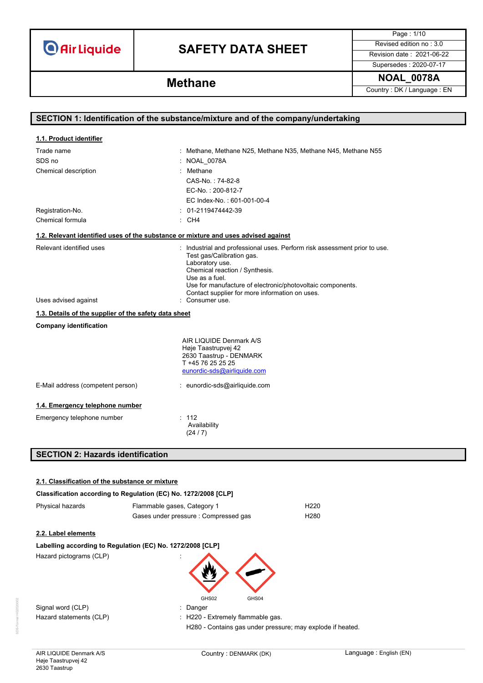# **SAFETY DATA SHEET** Revised edition no : 3.0

Page : 1/10 Supersedes : 2020-07-17

**NOAL\_0078A Methane**

Country : DK / Language : EN

| SECTION 1: Identification of the substance/mixture and of the company/undertaking  |                                                                                                                                                                                                                                                                                               |  |
|------------------------------------------------------------------------------------|-----------------------------------------------------------------------------------------------------------------------------------------------------------------------------------------------------------------------------------------------------------------------------------------------|--|
|                                                                                    |                                                                                                                                                                                                                                                                                               |  |
| 1.1. Product identifier                                                            |                                                                                                                                                                                                                                                                                               |  |
| Trade name                                                                         | : Methane, Methane N25, Methane N35, Methane N45, Methane N55                                                                                                                                                                                                                                 |  |
| SDS no                                                                             | : NOAL_0078A                                                                                                                                                                                                                                                                                  |  |
| Chemical description                                                               | Methane                                                                                                                                                                                                                                                                                       |  |
|                                                                                    | CAS-No.: 74-82-8                                                                                                                                                                                                                                                                              |  |
|                                                                                    | EC-No.: 200-812-7                                                                                                                                                                                                                                                                             |  |
|                                                                                    | EC Index-No.: 601-001-00-4                                                                                                                                                                                                                                                                    |  |
| Registration-No.                                                                   | : 01-2119474442-39                                                                                                                                                                                                                                                                            |  |
| Chemical formula                                                                   | : CH4                                                                                                                                                                                                                                                                                         |  |
| 1.2. Relevant identified uses of the substance or mixture and uses advised against |                                                                                                                                                                                                                                                                                               |  |
| Relevant identified uses                                                           | : Industrial and professional uses. Perform risk assessment prior to use.<br>Test gas/Calibration gas.<br>Laboratory use.<br>Chemical reaction / Synthesis.<br>Use as a fuel.<br>Use for manufacture of electronic/photovoltaic components.<br>Contact supplier for more information on uses. |  |
| Uses advised against                                                               | Consumer use.                                                                                                                                                                                                                                                                                 |  |
| 1.3. Details of the supplier of the safety data sheet                              |                                                                                                                                                                                                                                                                                               |  |
| <b>Company identification</b>                                                      |                                                                                                                                                                                                                                                                                               |  |
|                                                                                    | AIR LIQUIDE Denmark A/S<br>Høje Taastrupvej 42<br>2630 Taastrup - DENMARK<br>T +45 76 25 25 25<br>eunordic-sds@airliquide.com                                                                                                                                                                 |  |
| E-Mail address (competent person)                                                  | : eunordic-sds@airliquide.com                                                                                                                                                                                                                                                                 |  |
| 1.4. Emergency telephone number                                                    |                                                                                                                                                                                                                                                                                               |  |
| Emergency telephone number                                                         | : 112<br>Availability<br>(24/7)                                                                                                                                                                                                                                                               |  |
| <b>SECTION 2: Hazards identification</b>                                           |                                                                                                                                                                                                                                                                                               |  |

### **2.1. Classification of the substance or mixture**

| Classification according to Regulation (EC) No. 1272/2008 [CLP] |  |
|-----------------------------------------------------------------|--|
|-----------------------------------------------------------------|--|

| Physical hazards    | Flammable gases, Category 1                                | H <sub>220</sub> |
|---------------------|------------------------------------------------------------|------------------|
|                     | Gases under pressure : Compressed gas                      | H <sub>280</sub> |
| 2.2. Label elements |                                                            |                  |
|                     | Labelling according to Regulation (EC) No. 1272/2008 [CLP] |                  |

Hazard pictograms (CLP)



Signal word (CLP) **in the same of the CLP** state of the Signal word (CLP) and the state of the Signal word of the Signal and Signal and Signal and Signal and Signal and Signal and Signal and Signal and Signal and Signal an Hazard statements (CLP)  $\qquad \qquad$  : H220 - Extremely flammable gas.

H280 - Contains gas under pressure; may explode if heated.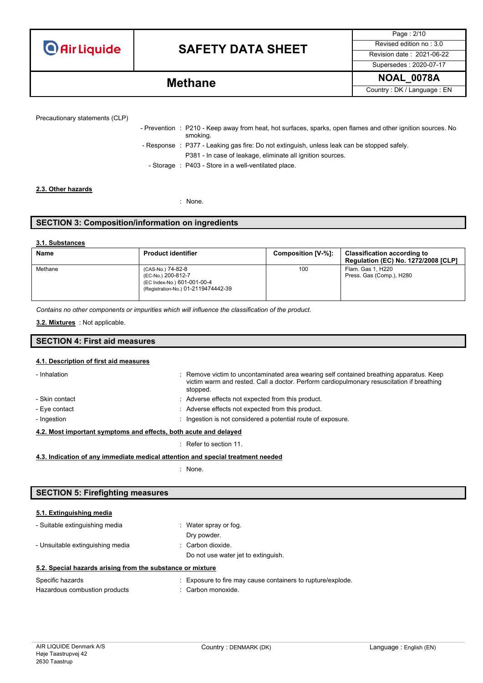## **SAFETY DATA SHEET** Revised edition no : 3.0

Page : 2/10 Supersedes : 2020-07-17

**NOAL\_0078A Methane** Country : DK / Language : EN

| - Prevention : P210 - Keep away from heat, hot surfaces, sparks, open flames and other ignition sources. No |
|-------------------------------------------------------------------------------------------------------------|
| smoking.                                                                                                    |
| - Response : P377 - Leaking gas fire: Do not extinguish, unless leak can be stopped safely.                 |
| P381 - In case of leakage, eliminate all ignition sources.                                                  |

- Storage : P403 - Store in a well-ventilated place.

#### **2.3. Other hazards**

: None.

### **SECTION 3: Composition/information on ingredients**

#### **3.1. Substances**

| <b>Name</b> | <b>Product identifier</b>                                                                                     | Composition [V-%]: | <b>Classification according to</b><br><b>Regulation (EC) No. 1272/2008 [CLP]</b> |
|-------------|---------------------------------------------------------------------------------------------------------------|--------------------|----------------------------------------------------------------------------------|
| Methane     | (CAS-No.) 74-82-8<br>(EC-No.) 200-812-7<br>(EC Index-No.) 601-001-00-4<br>(Registration-No.) 01-2119474442-39 | 100                | Flam. Gas 1. H220<br>Press. Gas (Comp.), H280                                    |

*Contains no other components or impurities which will influence the classification of the product.*

#### : Not applicable. **3.2. Mixtures**

### **SECTION 4: First aid measures**

### **4.1. Description of first aid measures**

| - Inhalation                                                     | : Remove victim to uncontaminated area wearing self contained breathing apparatus. Keep<br>victim warm and rested. Call a doctor. Perform cardiopulmonary resuscitation if breathing<br>stopped. |
|------------------------------------------------------------------|--------------------------------------------------------------------------------------------------------------------------------------------------------------------------------------------------|
| - Skin contact                                                   | : Adverse effects not expected from this product.                                                                                                                                                |
| - Eye contact                                                    | : Adverse effects not expected from this product.                                                                                                                                                |
| - Ingestion                                                      | : Ingestion is not considered a potential route of exposure.                                                                                                                                     |
| 4.2. Most important symptoms and effects, both acute and delayed |                                                                                                                                                                                                  |

: Refer to section 11.

#### **4.3. Indication of any immediate medical attention and special treatment needed**

: None.

### **SECTION 5: Firefighting measures**

| - Suitable extinguishing media                             | : Water spray or fog.               |
|------------------------------------------------------------|-------------------------------------|
|                                                            | Dry powder.                         |
| - Unsuitable extinguishing media                           | : Carbon dioxide.                   |
|                                                            | Do not use water jet to extinguish. |
| 5.2. Special hazards arising from the substance or mixture |                                     |
|                                                            |                                     |

| Specific hazards              | : Exposure to fire may cause containers to rupture/explode. |
|-------------------------------|-------------------------------------------------------------|
| Hazardous combustion products | : Carbon monoxide.                                          |

**5.1. Extinguishing media**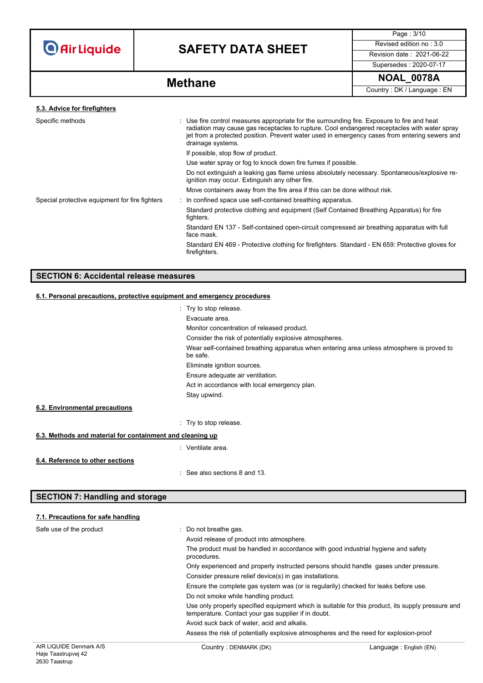

# **SAFETY DATA SHEET** Revised edition no : 3.0

Page : 3/10 Supersedes : 2020-07-17

**NOAL\_0078A Methane**

Country : DK / Language : EN

| 5.3. Advice for firefighters                   |                                                                                                                                                                                                                                                                                                                   |
|------------------------------------------------|-------------------------------------------------------------------------------------------------------------------------------------------------------------------------------------------------------------------------------------------------------------------------------------------------------------------|
| Specific methods                               | : Use fire control measures appropriate for the surrounding fire. Exposure to fire and heat<br>radiation may cause gas receptacles to rupture. Cool endangered receptacles with water spray<br>jet from a protected position. Prevent water used in emergency cases from entering sewers and<br>drainage systems. |
|                                                | If possible, stop flow of product.                                                                                                                                                                                                                                                                                |
|                                                | Use water spray or fog to knock down fire fumes if possible.                                                                                                                                                                                                                                                      |
|                                                | Do not extinguish a leaking gas flame unless absolutely necessary. Spontaneous/explosive re-<br>ignition may occur. Extinguish any other fire.                                                                                                                                                                    |
|                                                | Move containers away from the fire area if this can be done without risk.                                                                                                                                                                                                                                         |
| Special protective equipment for fire fighters | : In confined space use self-contained breathing apparatus.                                                                                                                                                                                                                                                       |
|                                                | Standard protective clothing and equipment (Self Contained Breathing Apparatus) for fire<br>fighters.                                                                                                                                                                                                             |
|                                                | Standard EN 137 - Self-contained open-circuit compressed air breathing apparatus with full<br>face mask.                                                                                                                                                                                                          |
|                                                | Standard EN 469 - Protective clothing for firefighters. Standard - EN 659: Protective gloves for<br>firefighters.                                                                                                                                                                                                 |
|                                                |                                                                                                                                                                                                                                                                                                                   |

### **SECTION 6: Accidental release measures**

### **6.1. Personal precautions, protective equipment and emergency procedures**

|                                                           | : Try to stop release.                                                                                |
|-----------------------------------------------------------|-------------------------------------------------------------------------------------------------------|
|                                                           | Evacuate area.                                                                                        |
|                                                           | Monitor concentration of released product.                                                            |
|                                                           |                                                                                                       |
|                                                           | Consider the risk of potentially explosive atmospheres.                                               |
|                                                           | Wear self-contained breathing apparatus when entering area unless atmosphere is proved to<br>be safe. |
|                                                           | Eliminate ignition sources.                                                                           |
|                                                           | Ensure adequate air ventilation.                                                                      |
|                                                           | Act in accordance with local emergency plan.                                                          |
|                                                           | Stay upwind.                                                                                          |
| 6.2. Environmental precautions                            |                                                                                                       |
|                                                           | : Try to stop release.                                                                                |
| 6.3. Methods and material for containment and cleaning up |                                                                                                       |
|                                                           | : Ventilate area.                                                                                     |
| 6.4. Reference to other sections                          |                                                                                                       |
|                                                           | : See also sections 8 and 13.                                                                         |

### **SECTION 7: Handling and storage**

### **7.1. Precautions for safe handling**

| AIR LIQUIDE Denmark A/S | Country: DENMARK (DK)                                                                            | Language: English (EN)                                                                            |  |  |
|-------------------------|--------------------------------------------------------------------------------------------------|---------------------------------------------------------------------------------------------------|--|--|
|                         | Assess the risk of potentially explosive atmospheres and the need for explosion-proof            |                                                                                                   |  |  |
|                         | Avoid suck back of water, acid and alkalis.                                                      |                                                                                                   |  |  |
|                         | temperature. Contact your gas supplier if in doubt.                                              | Use only properly specified equipment which is suitable for this product, its supply pressure and |  |  |
|                         | Do not smoke while handling product.                                                             |                                                                                                   |  |  |
|                         | Ensure the complete gas system was (or is regularily) checked for leaks before use.              |                                                                                                   |  |  |
|                         | Consider pressure relief device(s) in gas installations.                                         |                                                                                                   |  |  |
|                         | Only experienced and properly instructed persons should handle gases under pressure.             |                                                                                                   |  |  |
|                         | The product must be handled in accordance with good industrial hygiene and safety<br>procedures. |                                                                                                   |  |  |
|                         | Avoid release of product into atmosphere.                                                        |                                                                                                   |  |  |
| Safe use of the product | : Do not breathe gas.                                                                            |                                                                                                   |  |  |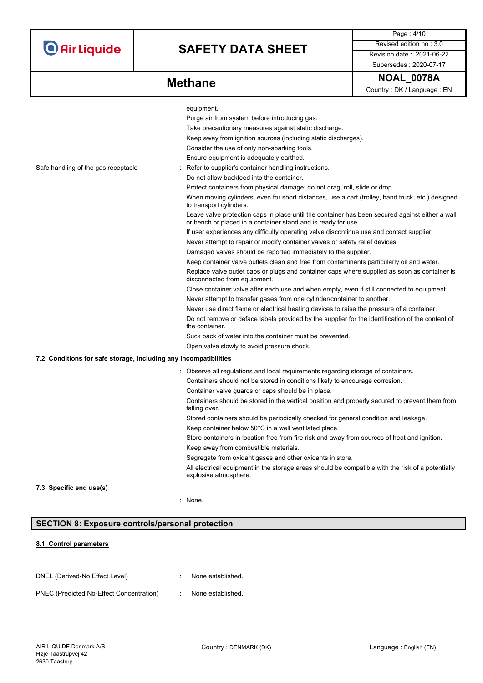# **SAFETY DATA SHEET** Revised edition no : 3.0

Supersedes : 2020-07-17

Page : 4/10

**Methane** 

| <b>NOAL 0078A</b> |
|-------------------|
|-------------------|

Country : DK / Language : EN

|                                                                   | equipment.                                                                                                                                                       |
|-------------------------------------------------------------------|------------------------------------------------------------------------------------------------------------------------------------------------------------------|
|                                                                   | Purge air from system before introducing gas.                                                                                                                    |
|                                                                   | Take precautionary measures against static discharge.                                                                                                            |
|                                                                   | Keep away from ignition sources (including static discharges).                                                                                                   |
|                                                                   | Consider the use of only non-sparking tools.                                                                                                                     |
|                                                                   | Ensure equipment is adequately earthed.                                                                                                                          |
| Safe handling of the gas receptacle                               | Refer to supplier's container handling instructions.                                                                                                             |
|                                                                   | Do not allow backfeed into the container.                                                                                                                        |
|                                                                   |                                                                                                                                                                  |
|                                                                   | Protect containers from physical damage; do not drag, roll, slide or drop.                                                                                       |
|                                                                   | When moving cylinders, even for short distances, use a cart (trolley, hand truck, etc.) designed<br>to transport cylinders.                                      |
|                                                                   | Leave valve protection caps in place until the container has been secured against either a wall<br>or bench or placed in a container stand and is ready for use. |
|                                                                   | If user experiences any difficulty operating valve discontinue use and contact supplier.                                                                         |
|                                                                   | Never attempt to repair or modify container valves or safety relief devices.                                                                                     |
|                                                                   | Damaged valves should be reported immediately to the supplier.                                                                                                   |
|                                                                   | Keep container valve outlets clean and free from contaminants particularly oil and water.                                                                        |
|                                                                   | Replace valve outlet caps or plugs and container caps where supplied as soon as container is<br>disconnected from equipment.                                     |
|                                                                   | Close container valve after each use and when empty, even if still connected to equipment.                                                                       |
|                                                                   | Never attempt to transfer gases from one cylinder/container to another.                                                                                          |
|                                                                   | Never use direct flame or electrical heating devices to raise the pressure of a container.                                                                       |
|                                                                   | Do not remove or deface labels provided by the supplier for the identification of the content of<br>the container.                                               |
|                                                                   | Suck back of water into the container must be prevented.                                                                                                         |
|                                                                   | Open valve slowly to avoid pressure shock.                                                                                                                       |
| 7.2. Conditions for safe storage, including any incompatibilities |                                                                                                                                                                  |
|                                                                   | : Observe all regulations and local requirements regarding storage of containers.                                                                                |
|                                                                   | Containers should not be stored in conditions likely to encourage corrosion.                                                                                     |
|                                                                   | Container valve guards or caps should be in place.                                                                                                               |
|                                                                   | Containers should be stored in the vertical position and properly secured to prevent them from<br>falling over.                                                  |
|                                                                   | Stored containers should be periodically checked for general condition and leakage.                                                                              |
|                                                                   | Keep container below 50°C in a well ventilated place.                                                                                                            |
|                                                                   | Store containers in location free from fire risk and away from sources of heat and ignition.                                                                     |
|                                                                   | Keep away from combustible materials.                                                                                                                            |
|                                                                   | Segregate from oxidant gases and other oxidants in store.                                                                                                        |
|                                                                   | All electrical equipment in the storage areas should be compatible with the risk of a potentially<br>explosive atmosphere.                                       |
| 7.3. Specific end use(s)                                          |                                                                                                                                                                  |
|                                                                   | : None.                                                                                                                                                          |
|                                                                   |                                                                                                                                                                  |

### **SECTION 8: Exposure controls/personal protection**

### **8.1. Control parameters**

| DNEL (Derived-No Effect Level)           | None established. |
|------------------------------------------|-------------------|
| PNEC (Predicted No-Effect Concentration) | None established. |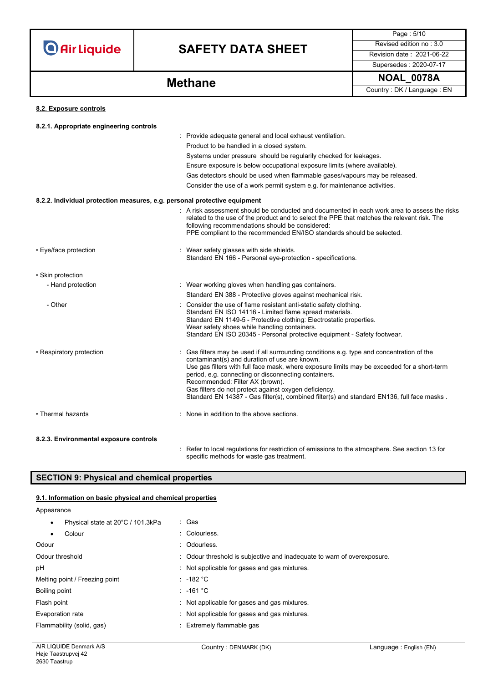

# **SAFETY DATA SHEET** Revised edition no : 3.0

Supersedes : 2020-07-17

Page : 5/10

**NOAL\_0078A Methane**

Country : DK / Language : EN

### **8.2. Exposure controls**

| 8.2.1. Appropriate engineering controls                                   |                                                                                                                                                                                                                                                                                                                                                                                                                                                                                            |
|---------------------------------------------------------------------------|--------------------------------------------------------------------------------------------------------------------------------------------------------------------------------------------------------------------------------------------------------------------------------------------------------------------------------------------------------------------------------------------------------------------------------------------------------------------------------------------|
|                                                                           | : Provide adequate general and local exhaust ventilation.                                                                                                                                                                                                                                                                                                                                                                                                                                  |
|                                                                           | Product to be handled in a closed system.                                                                                                                                                                                                                                                                                                                                                                                                                                                  |
|                                                                           | Systems under pressure should be regularily checked for leakages.                                                                                                                                                                                                                                                                                                                                                                                                                          |
|                                                                           | Ensure exposure is below occupational exposure limits (where available).                                                                                                                                                                                                                                                                                                                                                                                                                   |
|                                                                           | Gas detectors should be used when flammable gases/vapours may be released.                                                                                                                                                                                                                                                                                                                                                                                                                 |
|                                                                           | Consider the use of a work permit system e.g. for maintenance activities.                                                                                                                                                                                                                                                                                                                                                                                                                  |
| 8.2.2. Individual protection measures, e.g. personal protective equipment |                                                                                                                                                                                                                                                                                                                                                                                                                                                                                            |
|                                                                           | . A risk assessment should be conducted and documented in each work area to assess the risks<br>related to the use of the product and to select the PPE that matches the relevant risk. The<br>following recommendations should be considered:<br>PPE compliant to the recommended EN/ISO standards should be selected.                                                                                                                                                                    |
| • Eye/face protection                                                     | : Wear safety glasses with side shields.<br>Standard EN 166 - Personal eye-protection - specifications.                                                                                                                                                                                                                                                                                                                                                                                    |
| • Skin protection                                                         |                                                                                                                                                                                                                                                                                                                                                                                                                                                                                            |
| - Hand protection                                                         | : Wear working gloves when handling gas containers.                                                                                                                                                                                                                                                                                                                                                                                                                                        |
|                                                                           | Standard EN 388 - Protective gloves against mechanical risk.                                                                                                                                                                                                                                                                                                                                                                                                                               |
| - Other                                                                   | Consider the use of flame resistant anti-static safety clothing.<br>Standard EN ISO 14116 - Limited flame spread materials.<br>Standard EN 1149-5 - Protective clothing: Electrostatic properties.<br>Wear safety shoes while handling containers.<br>Standard EN ISO 20345 - Personal protective equipment - Safety footwear.                                                                                                                                                             |
| • Respiratory protection                                                  | Gas filters may be used if all surrounding conditions e.g. type and concentration of the<br>contaminant(s) and duration of use are known.<br>Use gas filters with full face mask, where exposure limits may be exceeded for a short-term<br>period, e.g. connecting or disconnecting containers.<br>Recommended: Filter AX (brown).<br>Gas filters do not protect against oxygen deficiency.<br>Standard EN 14387 - Gas filter(s), combined filter(s) and standard EN136, full face masks. |
| • Thermal hazards                                                         | : None in addition to the above sections.                                                                                                                                                                                                                                                                                                                                                                                                                                                  |
| 8.2.3. Environmental exposure controls                                    | Dafanta baad namibatisma fan nastriatism of anglesians to the istrosomhang. Den assetism 40 fr                                                                                                                                                                                                                                                                                                                                                                                             |

: Refer to local regulations for restriction of emissions to the atmosphere. See section 13 for specific methods for waste gas treatment.

### **SECTION 9: Physical and chemical properties**

### **9.1. Information on basic physical and chemical properties**

Appearance

| Physical state at 20°C / 101.3kPa<br>$\bullet$ | : Gas                                                                   |
|------------------------------------------------|-------------------------------------------------------------------------|
| Colour                                         | : Colourless.                                                           |
| Odour                                          | : Odourless                                                             |
| Odour threshold                                | : Odour threshold is subjective and inadequate to warn of overexposure. |
| рH                                             | Not applicable for gases and gas mixtures.                              |
| Melting point / Freezing point                 | $: -182 °C$                                                             |
| Boiling point                                  | : -161 °C                                                               |
| Flash point                                    | Not applicable for gases and gas mixtures.                              |
| Evaporation rate                               | Not applicable for gases and gas mixtures.                              |
| Flammability (solid, gas)                      | : Extremely flammable gas                                               |
|                                                |                                                                         |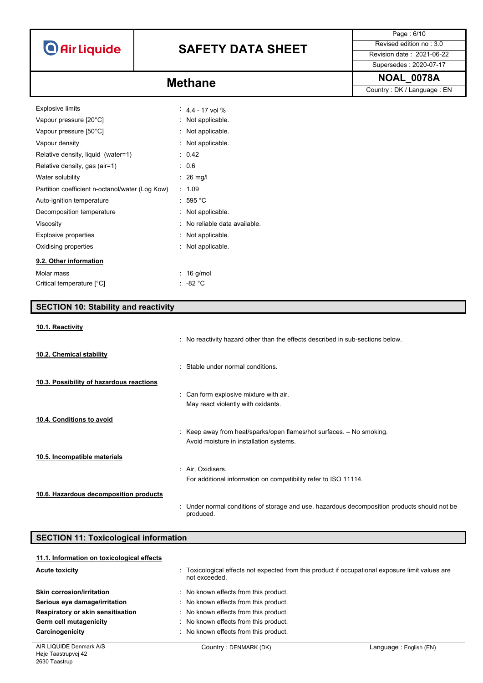# **SAFETY DATA SHEET** Revised edition no : 3.0

Page : 6/10

Supersedes : 2020-07-17

Country : DK / Language : EN

### **NOAL\_0078A Methane**

| <b>Explosive limits</b>                         |    | $4.4 - 17$ vol %             |
|-------------------------------------------------|----|------------------------------|
| Vapour pressure [20°C]                          |    | Not applicable.              |
| Vapour pressure [50°C]                          |    | $\therefore$ Not applicable. |
| Vapour density                                  |    | Not applicable.              |
| Relative density, liquid (water=1)              |    | : 0.42                       |
| Relative density, gas (air=1)                   |    | : 0.6                        |
| Water solubility                                |    | $\therefore$ 26 mg/l         |
| Partition coefficient n-octanol/water (Log Kow) | ÷. | 1.09                         |
| Auto-ignition temperature                       |    | $:595\text{ °C}$             |
| Decomposition temperature                       |    | Not applicable.              |
| Viscosity                                       |    | No reliable data available.  |
| Explosive properties                            |    | Not applicable.              |
| Oxidising properties                            |    | Not applicable.              |
| 9.2. Other information                          |    |                              |
| Molar mass                                      |    | $16$ g/mol                   |
| Critical temperature [°C]                       |    | : -82 °C                     |

|                                          | : Stable under normal conditions.                                    |
|------------------------------------------|----------------------------------------------------------------------|
| 10.3. Possibility of hazardous reactions |                                                                      |
|                                          | : Can form explosive mixture with air.                               |
|                                          | May react violently with oxidants.                                   |
| 10.4. Conditions to avoid                |                                                                      |
|                                          | : Keep away from heat/sparks/open flames/hot surfaces. - No smoking. |
|                                          | Avoid moisture in installation systems.                              |
| 10.5. Incompatible materials             |                                                                      |
|                                          | : Air, Oxidisers.                                                    |
|                                          | For additional information on compatibility refer to ISO 11114.      |
|                                          |                                                                      |

**10.6. Hazardous decomposition products**

**SECTION 10: Stability and reactivity**

**10.1. Reactivity**

**10.2. Chemical stability**

| : Under normal conditions of storage and use, hazardous decomposition products should not be |
|----------------------------------------------------------------------------------------------|
| produced.                                                                                    |

: No reactivity hazard other than the effects described in sub-sections below.

| <b>SECTION 11: Toxicological information</b> |                                                                                                                   |  |
|----------------------------------------------|-------------------------------------------------------------------------------------------------------------------|--|
| 11.1. Information on toxicological effects   |                                                                                                                   |  |
| <b>Acute toxicity</b>                        | : Toxicological effects not expected from this product if occupational exposure limit values are<br>not exceeded. |  |
| Skin corrosion/irritation                    | No known effects from this product.                                                                               |  |
| Serious eye damage/irritation                | : No known effects from this product.                                                                             |  |
| Respiratory or skin sensitisation            | : No known effects from this product.                                                                             |  |
| Germ cell mutagenicity                       | : No known effects from this product.                                                                             |  |
| Carcinogenicity                              | : No known effects from this product.                                                                             |  |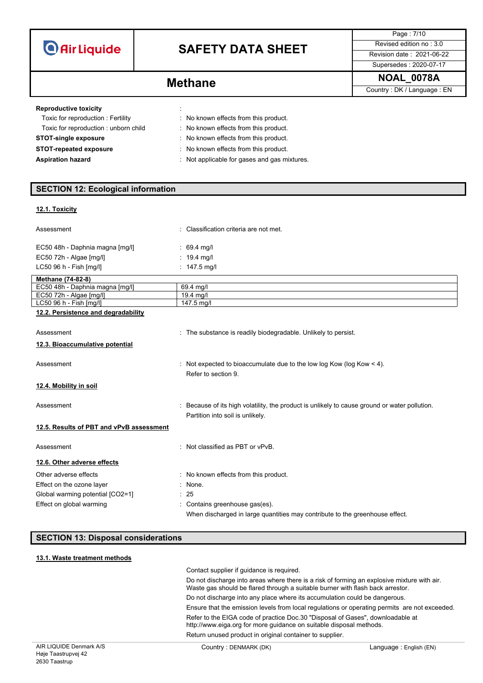# **SAFETY DATA SHEET** Revised edition no : 3.0

Page : 7/10

Supersedes : 2020-07-17

| <b>Methane</b> | <b>NOAL 0078A</b>          |
|----------------|----------------------------|
|                | Country: DK / Language: EN |

### **Reproductive toxicity in the state of the state of the state of the state of the state of the state of the state of the state of the state of the state of the state of the state of the state of the state of the state of**

| Toxic for reproduction: Fertility    | : No known effects from this product.        |
|--------------------------------------|----------------------------------------------|
| Toxic for reproduction: unborn child | No known effects from this product.          |
| <b>STOT-single exposure</b>          | : No known effects from this product.        |
| <b>STOT-repeated exposure</b>        | : No known effects from this product.        |
| <b>Aspiration hazard</b>             | : Not applicable for gases and gas mixtures. |

### **SECTION 12: Ecological information**

### **12.1. Toxicity**

| Assessment                               | : Classification criteria are not met.                                                                                            |
|------------------------------------------|-----------------------------------------------------------------------------------------------------------------------------------|
| EC50 48h - Daphnia magna [mg/l]          | $: 69.4$ mg/l                                                                                                                     |
| EC50 72h - Algae [mg/l]                  | : $19.4 \text{ mq/l}$                                                                                                             |
| LC50 96 h - Fish [mg/l]                  | : $147.5 \text{ mg/l}$                                                                                                            |
| Methane (74-82-8)                        |                                                                                                                                   |
| EC50 48h - Daphnia magna [mg/l]          | 69.4 mg/l                                                                                                                         |
| EC50 72h - Algae [mg/l]                  | $19.4$ mg/l                                                                                                                       |
| LC50 96 h - Fish [mg/l]                  | 147.5 mg/l                                                                                                                        |
| 12.2. Persistence and degradability      |                                                                                                                                   |
| Assessment                               | : The substance is readily biodegradable. Unlikely to persist.                                                                    |
| 12.3. Bioaccumulative potential          |                                                                                                                                   |
| Assessment                               | : Not expected to bioaccumulate due to the low log Kow (log Kow $<$ 4).<br>Refer to section 9                                     |
| 12.4. Mobility in soil                   |                                                                                                                                   |
| Assessment                               | : Because of its high volatility, the product is unlikely to cause ground or water pollution.<br>Partition into soil is unlikely. |
| 12.5. Results of PBT and vPvB assessment |                                                                                                                                   |
| Assessment                               | : Not classified as PBT or vPvB.                                                                                                  |
| 12.6. Other adverse effects              |                                                                                                                                   |
| Other adverse effects                    | : No known effects from this product.                                                                                             |
| Effect on the ozone layer                | $:$ None.                                                                                                                         |
| Global warming potential [CO2=1]         | : 25                                                                                                                              |
| Effect on global warming                 | Contains greenhouse gas(es).<br>When discharged in large quantities may contribute to the greenhouse effect.                      |

### **SECTION 13: Disposal considerations**

### **13.1. Waste treatment methods**

| Contact supplier if guidance is required.                                                                                                                                     |
|-------------------------------------------------------------------------------------------------------------------------------------------------------------------------------|
| Do not discharge into areas where there is a risk of forming an explosive mixture with air.<br>Waste gas should be flared through a suitable burner with flash back arrestor. |
| Do not discharge into any place where its accumulation could be dangerous.                                                                                                    |
| Ensure that the emission levels from local regulations or operating permits are not exceeded.                                                                                 |
| Refer to the EIGA code of practice Doc.30 "Disposal of Gases", downloadable at<br>http://www.eiga.org for more guidance on suitable disposal methods.                         |
| Return unused product in original container to supplier.                                                                                                                      |
|                                                                                                                                                                               |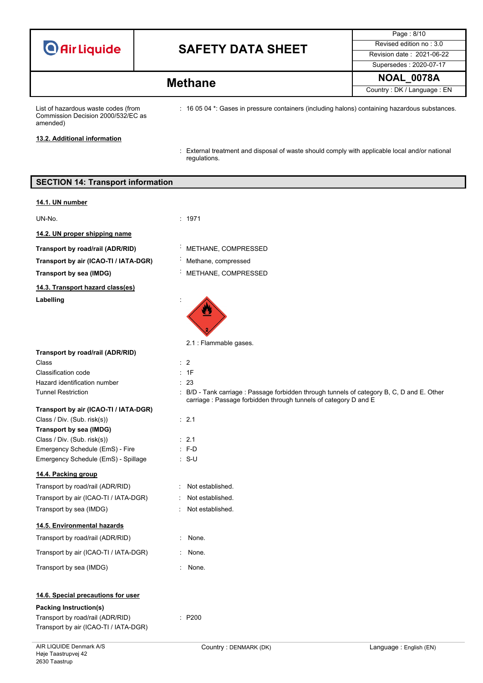## **SAFETY DATA SHEET** Revised edition no : 3.0

Page : 8/10 Supersedes : 2020-07-17

### **NOAL\_0078A Methane**

Country : DK / Language : EN

List of hazardous waste codes (from Commission Decision 2000/532/EC as amended)

: 16 05 04 \*: Gases in pressure containers (including halons) containing hazardous substances.

**13.2. Additional information**

: External treatment and disposal of waste should comply with applicable local and/or national regulations.

### **SECTION 14: Transport information**

#### **14.1. UN number**

UN-No. : 1971

**14.2. UN proper shipping name**

**Transport by road/rail (ADR/RID)** : METHANE, COMPRESSED

**Transport by air (ICAO-TI / IATA-DGR)** : Methane, compressed

**14.3. Transport hazard class(es)** Labelling

- -
	-
- **Transport by sea (IMDG)** : METHANE, COMPRESSED

carriage : Passage forbidden through tunnels of category D and E



 $\therefore$  S-U

: None. None.

### **Transport by road/rail (ADR/RID)**

Class : 2 Classification code : 1F Hazard identification number : 23 Tunnel Restriction : B/D - Tank carriage : Passage forbidden through tunnels of category B, C, D and E. Other

### **Transport by air (ICAO-TI / IATA-DGR)**

| Class / Div. (Sub. risk(s))         | $\therefore$ 2.1 |
|-------------------------------------|------------------|
| Transport by sea (IMDG)             |                  |
| Class / Div. (Sub. risk(s))         | $\cdot$ 21       |
| Emergency Schedule (EmS) - Fire     | $: F-D$          |
| Emergency Schedule (EmS) - Spillage | : S-U            |

### **14.4. Packing group**

Transport by road/rail (ADR/RID) : Not established. Transport by air (ICAO-TI / IATA-DGR) : Not established. Transport by sea (IMDG)  $\qquad \qquad$ : Not established.

### **14.5. Environmental hazards**

| Transport by road/rail (ADR/RID)      |  |
|---------------------------------------|--|
| Transport by air (ICAO-TI / IATA-DGR) |  |

Transport by sea (IMDG) **in the seam of the seam of the ST** in None.

### **14.6. Special precautions for user**

**Packing Instruction(s)** Transport by road/rail (ADR/RID) : P200 Transport by air (ICAO-TI / IATA-DGR)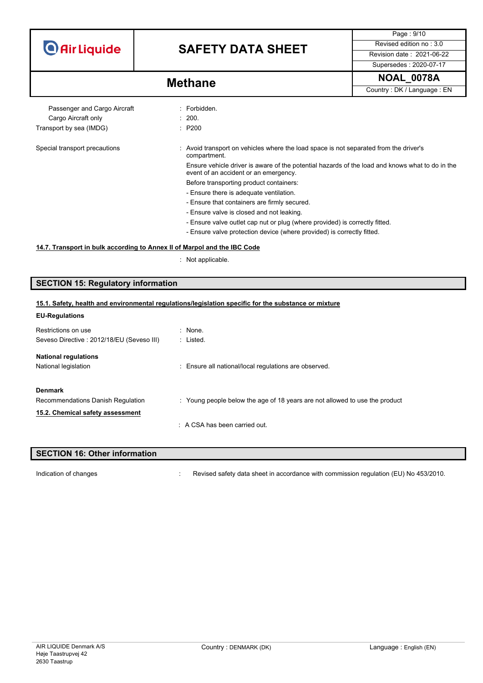## **SAFETY DATA SHEET** Revised edition no : 3.0

Supersedes : 2020-07-17

Page : 9/10

**NOAL\_0078A Methane**

Country : DK / Language : EN

Passenger and Cargo Aircraft : Forbidden. Cargo Aircraft only **Example 200.** 200. Transport by sea (IMDG) **in the seam of the STAN** : P200

Special transport precautions : Avoid transport on vehicles where the load space is not separated from the driver's compartment.

> Ensure vehicle driver is aware of the potential hazards of the load and knows what to do in the event of an accident or an emergency.

- Before transporting product containers:
- Ensure there is adequate ventilation.
- Ensure that containers are firmly secured.
- Ensure valve is closed and not leaking.
- Ensure valve outlet cap nut or plug (where provided) is correctly fitted.
- Ensure valve protection device (where provided) is correctly fitted.

### **14.7. Transport in bulk according to Annex II of Marpol and the IBC Code**

: Not applicable.

### **SECTION 15: Regulatory information**

### **15.1. Safety, health and environmental regulations/legislation specific for the substance or mixture**

| <b>EU-Regulations</b>                     |                                                                             |
|-------------------------------------------|-----------------------------------------------------------------------------|
| Restrictions on use                       | : None.                                                                     |
| Seveso Directive: 2012/18/EU (Seveso III) | : Listed.                                                                   |
| <b>National regulations</b>               |                                                                             |
| National legislation                      | : Ensure all national/local regulations are observed.                       |
| <b>Denmark</b>                            |                                                                             |
| Recommendations Danish Regulation         | : Young people below the age of 18 years are not allowed to use the product |
| 15.2. Chemical safety assessment          |                                                                             |
|                                           | $\therefore$ A CSA has been carried out.                                    |
|                                           |                                                                             |

### **SECTION 16: Other information** Indication of changes **included in the Changes** : Revised safety data sheet in accordance with commission regulation (EU) No 453/2010.